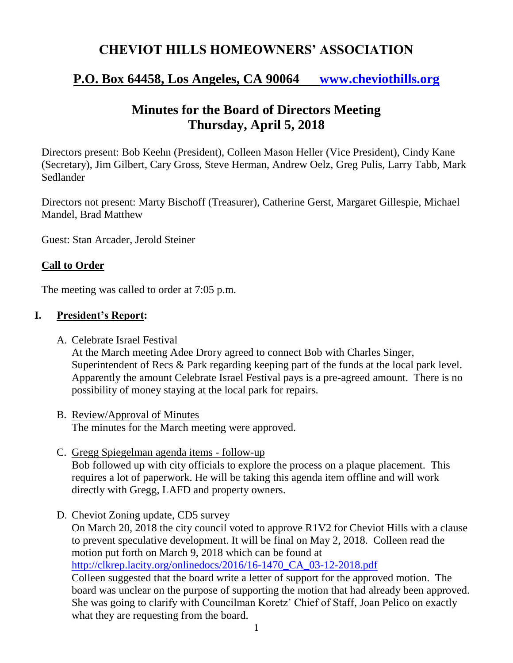## **CHEVIOT HILLS HOMEOWNERS' ASSOCIATION**

## **P.O. Box 64458, Los Angeles, CA 90064 [www.cheviothills.org](http://www.cheviothills.org/)**

# **Minutes for the Board of Directors Meeting Thursday, April 5, 2018**

Directors present: Bob Keehn (President), Colleen Mason Heller (Vice President), Cindy Kane (Secretary), Jim Gilbert, Cary Gross, Steve Herman, Andrew Oelz, Greg Pulis, Larry Tabb, Mark Sedlander

Directors not present: Marty Bischoff (Treasurer), Catherine Gerst, Margaret Gillespie, Michael Mandel, Brad Matthew

Guest: Stan Arcader, Jerold Steiner

## **Call to Order**

The meeting was called to order at 7:05 p.m.

## **I. President's Report:**

A. Celebrate Israel Festival

At the March meeting Adee Drory agreed to connect Bob with Charles Singer, Superintendent of Recs & Park regarding keeping part of the funds at the local park level. Apparently the amount Celebrate Israel Festival pays is a pre-agreed amount. There is no possibility of money staying at the local park for repairs.

- B. Review/Approval of Minutes The minutes for the March meeting were approved.
- C. Gregg Spiegelman agenda items follow-up Bob followed up with city officials to explore the process on a plaque placement. This requires a lot of paperwork. He will be taking this agenda item offline and will work directly with Gregg, LAFD and property owners.
- D. Cheviot Zoning update, CD5 survey

On March 20, 2018 the city council voted to approve R1V2 for Cheviot Hills with a clause to prevent speculative development. It will be final on May 2, 2018. Colleen read the motion put forth on March 9, 2018 which can be found at [http://clkrep.lacity.org/onlinedocs/2016/16-1470\\_CA\\_03-12-2018.pdf](http://clkrep.lacity.org/onlinedocs/2016/16-1470_CA_03-12-2018.pdf)

Colleen suggested that the board write a letter of support for the approved motion. The board was unclear on the purpose of supporting the motion that had already been approved. She was going to clarify with Councilman Koretz' Chief of Staff, Joan Pelico on exactly what they are requesting from the board.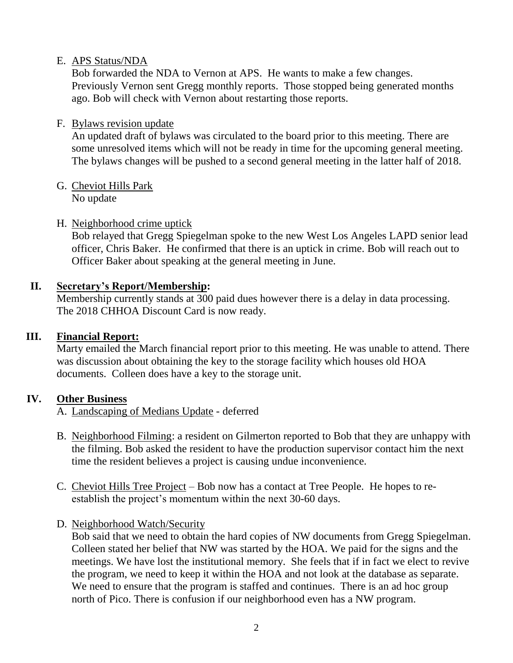### E. APS Status/NDA

Bob forwarded the NDA to Vernon at APS. He wants to make a few changes. Previously Vernon sent Gregg monthly reports. Those stopped being generated months ago. Bob will check with Vernon about restarting those reports.

### F. Bylaws revision update

An updated draft of bylaws was circulated to the board prior to this meeting. There are some unresolved items which will not be ready in time for the upcoming general meeting. The bylaws changes will be pushed to a second general meeting in the latter half of 2018.

#### G. Cheviot Hills Park No update

#### H. Neighborhood crime uptick

Bob relayed that Gregg Spiegelman spoke to the new West Los Angeles LAPD senior lead officer, Chris Baker. He confirmed that there is an uptick in crime. Bob will reach out to Officer Baker about speaking at the general meeting in June.

#### **II. Secretary's Report/Membership:**

Membership currently stands at 300 paid dues however there is a delay in data processing. The 2018 CHHOA Discount Card is now ready.

### **III. Financial Report:**

Marty emailed the March financial report prior to this meeting. He was unable to attend. There was discussion about obtaining the key to the storage facility which houses old HOA documents. Colleen does have a key to the storage unit.

### **IV. Other Business**

A. Landscaping of Medians Update - deferred

- B. Neighborhood Filming: a resident on Gilmerton reported to Bob that they are unhappy with the filming. Bob asked the resident to have the production supervisor contact him the next time the resident believes a project is causing undue inconvenience.
- C. Cheviot Hills Tree Project Bob now has a contact at Tree People. He hopes to reestablish the project's momentum within the next 30-60 days.
- D. Neighborhood Watch/Security

Bob said that we need to obtain the hard copies of NW documents from Gregg Spiegelman. Colleen stated her belief that NW was started by the HOA. We paid for the signs and the meetings. We have lost the institutional memory. She feels that if in fact we elect to revive the program, we need to keep it within the HOA and not look at the database as separate. We need to ensure that the program is staffed and continues. There is an ad hoc group north of Pico. There is confusion if our neighborhood even has a NW program.